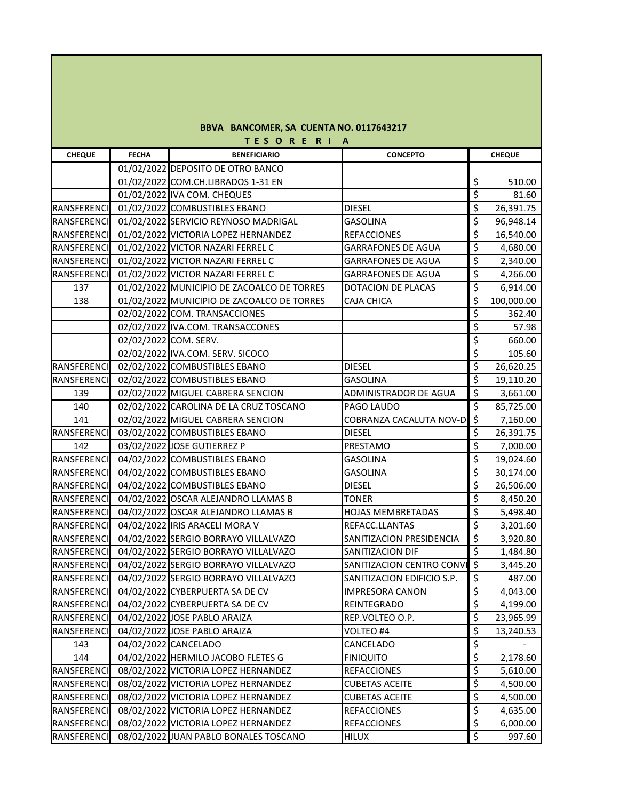|  | BBVA BANCOMER, SA CUENTA NO. 0117643217 |  |  |  |  |  |
|--|-----------------------------------------|--|--|--|--|--|
|--|-----------------------------------------|--|--|--|--|--|

| TES ORE RIA        |              |                                             |                            |                          |               |  |
|--------------------|--------------|---------------------------------------------|----------------------------|--------------------------|---------------|--|
| <b>CHEQUE</b>      | <b>FECHA</b> | <b>BENEFICIARIO</b>                         | <b>CONCEPTO</b>            |                          | <b>CHEQUE</b> |  |
|                    |              | 01/02/2022 DEPOSITO DE OTRO BANCO           |                            |                          |               |  |
|                    |              | 01/02/2022 COM.CH.LIBRADOS 1-31 EN          |                            | \$                       | 510.00        |  |
|                    |              | 01/02/2022 IVA COM. CHEQUES                 |                            | \$                       | 81.60         |  |
| RANSFERENCI        |              | 01/02/2022 COMBUSTIBLES EBANO               | <b>DIESEL</b>              | $\overline{\xi}$         | 26,391.75     |  |
| RANSFERENCI        |              | 01/02/2022 SERVICIO REYNOSO MADRIGAL        | <b>GASOLINA</b>            | $\overline{\mathcal{S}}$ | 96,948.14     |  |
| RANSFERENCI        |              | 01/02/2022 VICTORIA LOPEZ HERNANDEZ         | <b>REFACCIONES</b>         | $\overline{\mathcal{S}}$ | 16,540.00     |  |
| RANSFERENCI        |              | 01/02/2022 VICTOR NAZARI FERREL C           | <b>GARRAFONES DE AGUA</b>  | $\overline{\mathcal{S}}$ | 4,680.00      |  |
| RANSFERENCI        |              | 01/02/2022 VICTOR NAZARI FERREL C           | <b>GARRAFONES DE AGUA</b>  | $\overline{\xi}$         | 2,340.00      |  |
| RANSFERENCI        |              | 01/02/2022 VICTOR NAZARI FERREL C           | <b>GARRAFONES DE AGUA</b>  | \$                       | 4,266.00      |  |
| 137                |              | 01/02/2022 MUNICIPIO DE ZACOALCO DE TORRES  | DOTACION DE PLACAS         | $\overline{\xi}$         | 6,914.00      |  |
| 138                |              | 01/02/2022 MUNICIPIO DE ZACOALCO DE TORRES  | CAJA CHICA                 | \$                       | 100,000.00    |  |
|                    |              | 02/02/2022 COM. TRANSACCIONES               |                            | $\zeta$                  | 362.40        |  |
|                    |              | 02/02/2022 IVA.COM. TRANSACCONES            |                            | \$                       | 57.98         |  |
|                    |              | 02/02/2022 COM. SERV.                       |                            | $\overline{\mathcal{S}}$ | 660.00        |  |
|                    |              | 02/02/2022 IVA.COM. SERV. SICOCO            |                            | $\overline{\xi}$         | 105.60        |  |
| RANSFERENCI        |              | 02/02/2022 COMBUSTIBLES EBANO               | <b>DIESEL</b>              | $\overline{\mathcal{S}}$ | 26,620.25     |  |
| RANSFERENCI        |              | 02/02/2022 COMBUSTIBLES EBANO               | <b>GASOLINA</b>            | \$                       | 19,110.20     |  |
| 139                |              | 02/02/2022 MIGUEL CABRERA SENCION           | ADMINISTRADOR DE AGUA      | $\overline{\mathcal{S}}$ | 3,661.00      |  |
| 140                |              | 02/02/2022 CAROLINA DE LA CRUZ TOSCANO      | PAGO LAUDO                 | $\overline{\mathcal{S}}$ | 85,725.00     |  |
| 141                |              | 02/02/2022 MIGUEL CABRERA SENCION           | COBRANZA CACALUTA NOV-D    | $\zeta$                  | 7,160.00      |  |
| RANSFERENCI        |              | 03/02/2022 COMBUSTIBLES EBANO               | <b>DIESEL</b>              | \$                       | 26,391.75     |  |
| 142                |              | 03/02/2022 JOSE GUTIERREZ P                 | PRESTAMO                   | $\overline{\xi}$         | 7,000.00      |  |
| RANSFERENCI        |              | 04/02/2022 COMBUSTIBLES EBANO               | <b>GASOLINA</b>            | $\overline{\mathcal{S}}$ | 19,024.60     |  |
| RANSFERENCI        |              | 04/02/2022 COMBUSTIBLES EBANO               | <b>GASOLINA</b>            | \$                       | 30,174.00     |  |
| RANSFERENCI        |              | 04/02/2022 COMBUSTIBLES EBANO               | <b>DIESEL</b>              | $\overline{\xi}$         | 26,506.00     |  |
| RANSFERENCI        |              | 04/02/2022 OSCAR ALEJANDRO LLAMAS B         | <b>TONER</b>               | $\overline{\xi}$         | 8,450.20      |  |
| <b>RANSFERENCI</b> |              | 04/02/2022 OSCAR ALEJANDRO LLAMAS B         | <b>HOJAS MEMBRETADAS</b>   | \$                       | 5,498.40      |  |
| RANSFERENCI        |              | 04/02/2022 IRIS ARACELI MORA V              | REFACC.LLANTAS             | \$                       | 3,201.60      |  |
| <b>RANSFERENCI</b> |              | 04/02/2022 SERGIO BORRAYO VILLALVAZO        | SANITIZACION PRESIDENCIA   | $\overline{\xi}$         | 3,920.80      |  |
| RANSFERENCI        |              | 04/02/2022 SERGIO BORRAYO VILLALVAZO        | SANITIZACION DIF           | $\overline{\mathcal{S}}$ | 1,484.80      |  |
| RANSFERENCI        |              | 04/02/2022 SERGIO BORRAYO VILLALVAZO        | SANITIZACION CENTRO CONVE  | $\overline{\mathbf{v}}$  | 3,445.20      |  |
| RANSFERENCI        |              | 04/02/2022 SERGIO BORRAYO VILLALVAZO        | SANITIZACION EDIFICIO S.P. | \$                       | 487.00        |  |
|                    |              | RANSFERENCI 04/02/2022 CYBERPUERTA SA DE CV | <b>IMPRESORA CANON</b>     | $\overline{\mathcal{L}}$ | 4,043.00      |  |
| RANSFERENCI        |              | 04/02/2022 CYBERPUERTA SA DE CV             | REINTEGRADO                | \$                       | 4,199.00      |  |
| RANSFERENCI        |              | 04/02/2022 JOSE PABLO ARAIZA                | REP.VOLTEO O.P.            | \$                       | 23,965.99     |  |
| RANSFERENCI        |              | 04/02/2022 JOSE PABLO ARAIZA                | VOLTEO #4                  | \$                       | 13,240.53     |  |
| 143                |              | 04/02/2022 CANCELADO                        | CANCELADO                  | \$                       |               |  |
| 144                |              | 04/02/2022 HERMILO JACOBO FLETES G          | <b>FINIQUITO</b>           | \$                       | 2,178.60      |  |
| RANSFERENCI        |              | 08/02/2022 VICTORIA LOPEZ HERNANDEZ         | REFACCIONES                | \$                       | 5,610.00      |  |
| RANSFERENCI        |              | 08/02/2022 VICTORIA LOPEZ HERNANDEZ         | <b>CUBETAS ACEITE</b>      | \$                       | 4,500.00      |  |
| RANSFERENCI        |              | 08/02/2022 VICTORIA LOPEZ HERNANDEZ         | <b>CUBETAS ACEITE</b>      | $\overline{\mathcal{S}}$ | 4,500.00      |  |
| RANSFERENCI        |              | 08/02/2022 VICTORIA LOPEZ HERNANDEZ         | <b>REFACCIONES</b>         | \$                       | 4,635.00      |  |
| RANSFERENCI        |              | 08/02/2022 VICTORIA LOPEZ HERNANDEZ         | <b>REFACCIONES</b>         | \$                       | 6,000.00      |  |
| RANSFERENCI        |              | 08/02/2022 JUAN PABLO BONALES TOSCANO       | HILUX                      | \$                       | 997.60        |  |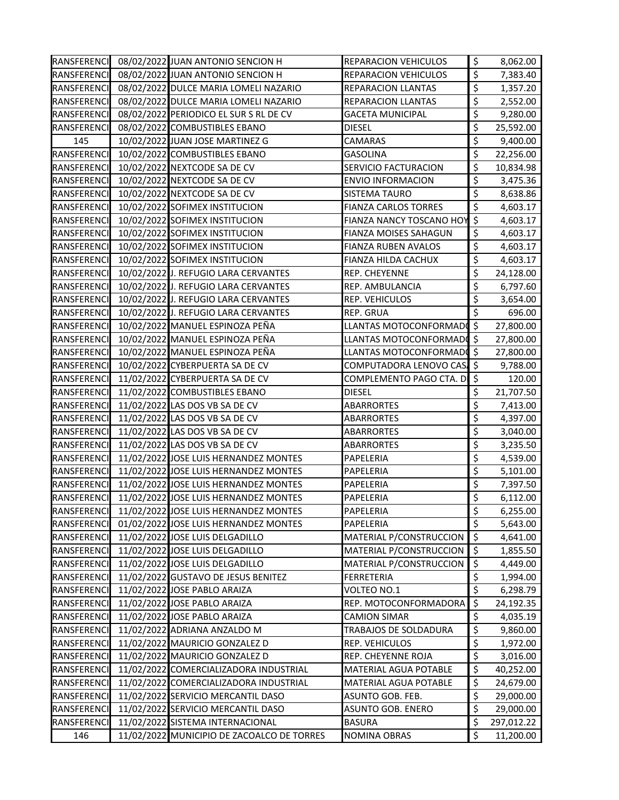|                    | RANSFERENCI 08/02/2022 JUAN ANTONIO SENCION H | REPARACION VEHICULOS        | \$                       | 8,062.00   |
|--------------------|-----------------------------------------------|-----------------------------|--------------------------|------------|
| RANSFERENCI        | 08/02/2022 JUAN ANTONIO SENCION H             | REPARACION VEHICULOS        | \$                       | 7,383.40   |
| RANSFERENCI        | 08/02/2022 DULCE MARIA LOMELI NAZARIO         | REPARACION LLANTAS          | \$                       | 1,357.20   |
| RANSFERENCI        | 08/02/2022 DULCE MARIA LOMELI NAZARIO         | REPARACION LLANTAS          | \$                       | 2,552.00   |
| RANSFERENCI        | 08/02/2022 PERIODICO EL SUR S RL DE CV        | <b>GACETA MUNICIPAL</b>     | \$                       | 9,280.00   |
| RANSFERENCI        | 08/02/2022 COMBUSTIBLES EBANO                 | DIESEL                      | \$                       | 25,592.00  |
| 145                | 10/02/2022 JUAN JOSE MARTINEZ G               | CAMARAS                     | \$                       | 9,400.00   |
| RANSFERENCI        | 10/02/2022 COMBUSTIBLES EBANO                 | <b>GASOLINA</b>             | \$                       | 22,256.00  |
| RANSFERENCI        | 10/02/2022 NEXTCODE SA DE CV                  | SERVICIO FACTURACION        | \$                       | 10,834.98  |
| RANSFERENCI        | 10/02/2022 NEXTCODE SA DE CV                  | <b>ENVIO INFORMACION</b>    | \$                       | 3,475.36   |
| <b>RANSFERENCI</b> | 10/02/2022 NEXTCODE SA DE CV                  | <b>SISTEMA TAURO</b>        | \$                       | 8,638.86   |
| RANSFERENCI        | 10/02/2022 SOFIMEX INSTITUCION                | <b>FIANZA CARLOS TORRES</b> | $\overline{\mathcal{S}}$ | 4,603.17   |
| RANSFERENCI        | 10/02/2022 SOFIMEX INSTITUCION                | FIANZA NANCY TOSCANO HOY \$ |                          | 4,603.17   |
| RANSFERENCI        | 10/02/2022 SOFIMEX INSTITUCION                | FIANZA MOISES SAHAGUN       | $\zeta$                  | 4,603.17   |
| RANSFERENCI        | 10/02/2022 SOFIMEX INSTITUCION                | FIANZA RUBEN AVALOS         | \$                       | 4,603.17   |
| RANSFERENCI        | 10/02/2022 SOFIMEX INSTITUCION                | FIANZA HILDA CACHUX         | \$                       | 4,603.17   |
| <b>RANSFERENCI</b> | 10/02/2022 J. REFUGIO LARA CERVANTES          | REP. CHEYENNE               | \$                       | 24,128.00  |
| RANSFERENCI        | 10/02/2022 J. REFUGIO LARA CERVANTES          | REP. AMBULANCIA             | \$                       | 6,797.60   |
| RANSFERENCI        | 10/02/2022 J. REFUGIO LARA CERVANTES          | REP. VEHICULOS              | \$                       | 3,654.00   |
| RANSFERENCI        | 10/02/2022 J. REFUGIO LARA CERVANTES          | REP. GRUA                   | \$                       | 696.00     |
| <b>RANSFERENCI</b> | 10/02/2022 MANUEL ESPINOZA PEÑA               | LLANTAS MOTOCONFORMADO \$   |                          | 27,800.00  |
| <b>RANSFERENCI</b> | 10/02/2022 MANUEL ESPINOZA PEÑA               | LLANTAS MOTOCONFORMADO \$   |                          | 27,800.00  |
| RANSFERENCI        | 10/02/2022 MANUEL ESPINOZA PEÑA               | LLANTAS MOTOCONFORMADO \$   |                          | 27,800.00  |
| RANSFERENCI        | 10/02/2022 CYBERPUERTA SA DE CV               | COMPUTADORA LENOVO CAS, \$  |                          | 9,788.00   |
| RANSFERENCI        | 11/02/2022 CYBERPUERTA SA DE CV               | COMPLEMENTO PAGO CTA. DI \$ |                          | 120.00     |
| RANSFERENCI        | 11/02/2022 COMBUSTIBLES EBANO                 | <b>DIESEL</b>               | \$                       | 21,707.50  |
| RANSFERENCI        | 11/02/2022 LAS DOS VB SA DE CV                | <b>ABARRORTES</b>           | \$                       | 7,413.00   |
| RANSFERENCI        | 11/02/2022 LAS DOS VB SA DE CV                | ABARRORTES                  | \$                       | 4,397.00   |
| RANSFERENCI        | 11/02/2022 LAS DOS VB SA DE CV                | ABARRORTES                  | \$                       | 3,040.00   |
| RANSFERENCI        | 11/02/2022 LAS DOS VB SA DE CV                | <b>ABARRORTES</b>           | \$                       | 3,235.50   |
| RANSFERENCI        | 11/02/2022 JOSE LUIS HERNANDEZ MONTES         | PAPELERIA                   | \$                       | 4,539.00   |
| RANSFERENCI        | 11/02/2022 JOSE LUIS HERNANDEZ MONTES         | PAPELERIA                   | \$                       | 5,101.00   |
| RANSFERENCI        | 11/02/2022 JOSE LUIS HERNANDEZ MONTES         | PAPELERIA                   | \$                       | 7,397.50   |
| RANSFERENCI        | 11/02/2022 JOSE LUIS HERNANDEZ MONTES         | PAPELERIA                   | \$                       | 6,112.00   |
| RANSFERENCI        | 11/02/2022 JOSE LUIS HERNANDEZ MONTES         | PAPELERIA                   | \$                       | 6,255.00   |
| RANSFERENCI        | 01/02/2022 JOSE LUIS HERNANDEZ MONTES         | PAPELERIA                   | $\zeta$                  | 5,643.00   |
| RANSFERENCI        | 11/02/2022 JOSE LUIS DELGADILLO               | MATERIAL P/CONSTRUCCION     | \$                       | 4,641.00   |
| RANSFERENCI        | 11/02/2022 JOSE LUIS DELGADILLO               | MATERIAL P/CONSTRUCCION     | \$                       | 1,855.50   |
| RANSFERENCI        | 11/02/2022 JOSE LUIS DELGADILLO               | MATERIAL P/CONSTRUCCION     | \$                       | 4,449.00   |
| RANSFERENCI        | 11/02/2022 GUSTAVO DE JESUS BENITEZ           | FERRETERIA                  | \$                       | 1,994.00   |
| RANSFERENCI        | 11/02/2022 JOSE PABLO ARAIZA                  | VOLTEO NO.1                 | \$                       | 6,298.79   |
| RANSFERENCI        | 11/02/2022 JOSE PABLO ARAIZA                  | REP. MOTOCONFORMADORA       | \$                       | 24,192.35  |
| RANSFERENCI        | 11/02/2022 JOSE PABLO ARAIZA                  | <b>CAMION SIMAR</b>         | \$                       | 4,035.19   |
| RANSFERENCI        | 11/02/2022 ADRIANA ANZALDO M                  | TRABAJOS DE SOLDADURA       | \$                       | 9,860.00   |
| RANSFERENCI        | 11/02/2022 MAURICIO GONZALEZ D                | REP. VEHICULOS              | \$                       | 1,972.00   |
| RANSFERENCI        | 11/02/2022 MAURICIO GONZALEZ D                | REP. CHEYENNE ROJA          | \$                       | 3,016.00   |
| RANSFERENCI        | 11/02/2022 COMERCIALIZADORA INDUSTRIAL        | MATERIAL AGUA POTABLE       | \$                       | 40,252.00  |
| RANSFERENCI        | 11/02/2022 COMERCIALIZADORA INDUSTRIAL        | MATERIAL AGUA POTABLE       | \$                       | 24,679.00  |
| RANSFERENCI        | 11/02/2022 SERVICIO MERCANTIL DASO            | ASUNTO GOB. FEB.            | \$                       | 29,000.00  |
| <b>RANSFERENCI</b> | 11/02/2022 SERVICIO MERCANTIL DASO            | ASUNTO GOB. ENERO           | \$                       | 29,000.00  |
| RANSFERENCI        | 11/02/2022 SISTEMA INTERNACIONAL              | BASURA                      | \$                       | 297,012.22 |
| 146                | 11/02/2022 MUNICIPIO DE ZACOALCO DE TORRES    | NOMINA OBRAS                | \$                       | 11,200.00  |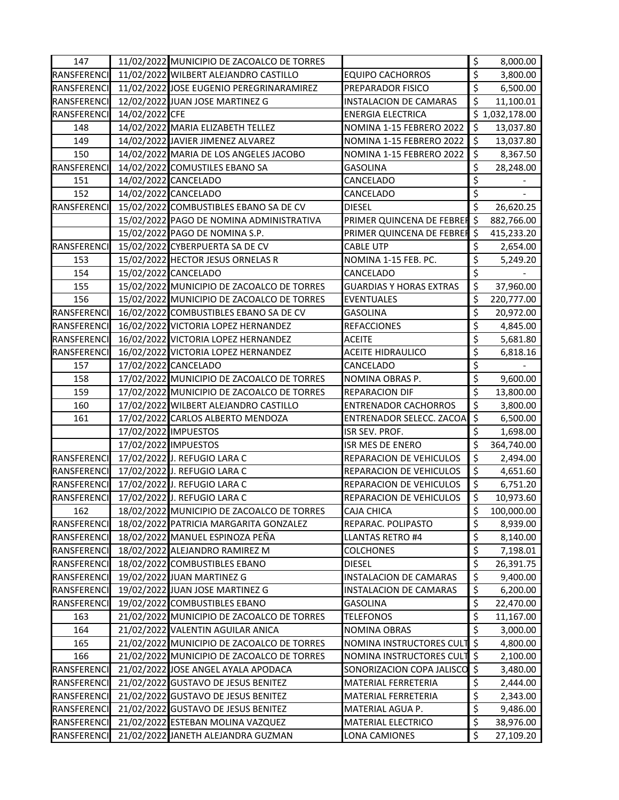| 147                |                | 11/02/2022 MUNICIPIO DE ZACOALCO DE TORRES |                                | \$                       | 8,000.00       |
|--------------------|----------------|--------------------------------------------|--------------------------------|--------------------------|----------------|
| RANSFERENCI        |                | 11/02/2022 WILBERT ALEJANDRO CASTILLO      | <b>EQUIPO CACHORROS</b>        | \$                       | 3,800.00       |
| RANSFERENCI        |                | 11/02/2022 JOSE EUGENIO PEREGRINARAMIREZ   | PREPARADOR FISICO              | $\overline{\xi}$         | 6,500.00       |
| RANSFERENCI        |                | 12/02/2022 JUAN JOSE MARTINEZ G            | <b>INSTALACION DE CAMARAS</b>  | \$                       | 11,100.01      |
| <b>RANSFERENCI</b> | 14/02/2022 CFE |                                            | <b>ENERGIA ELECTRICA</b>       |                          | \$1,032,178.00 |
| 148                |                | 14/02/2022 MARIA ELIZABETH TELLEZ          | NOMINA 1-15 FEBRERO 2022       | \$                       | 13,037.80      |
| 149                |                | 14/02/2022 JAVIER JIMENEZ ALVAREZ          | NOMINA 1-15 FEBRERO 2022       | \$                       | 13,037.80      |
| 150                |                | 14/02/2022 MARIA DE LOS ANGELES JACOBO     | NOMINA 1-15 FEBRERO 2022       | \$                       | 8,367.50       |
| RANSFERENCI        |                | 14/02/2022 COMUSTILES EBANO SA             | <b>GASOLINA</b>                | \$                       | 28,248.00      |
| 151                |                | 14/02/2022 CANCELADO                       | CANCELADO                      | \$                       |                |
| 152                |                | 14/02/2022 CANCELADO                       | CANCELADO                      | \$                       |                |
| RANSFERENCI        |                | 15/02/2022 COMBUSTIBLES EBANO SA DE CV     | DIESEL                         | $\overline{\mathcal{S}}$ | 26,620.25      |
|                    |                | 15/02/2022 PAGO DE NOMINA ADMINISTRATIVA   | PRIMER QUINCENA DE FEBREF \$   |                          | 882,766.00     |
|                    |                | 15/02/2022 PAGO DE NOMINA S.P.             | PRIMER QUINCENA DE FEBREF \$   |                          | 415,233.20     |
| RANSFERENCI        |                | 15/02/2022 CYBERPUERTA SA DE CV            | <b>CABLE UTP</b>               | \$                       | 2,654.00       |
| 153                |                | 15/02/2022 HECTOR JESUS ORNELAS R          | NOMINA 1-15 FEB. PC.           | \$                       | 5,249.20       |
| 154                |                | 15/02/2022 CANCELADO                       | CANCELADO                      | $\overline{\xi}$         |                |
| 155                |                | 15/02/2022 MUNICIPIO DE ZACOALCO DE TORRES | <b>GUARDIAS Y HORAS EXTRAS</b> | \$                       | 37,960.00      |
| 156                |                | 15/02/2022 MUNICIPIO DE ZACOALCO DE TORRES | <b>EVENTUALES</b>              | \$                       | 220,777.00     |
| RANSFERENCI        |                | 16/02/2022 COMBUSTIBLES EBANO SA DE CV     | <b>GASOLINA</b>                | \$                       | 20,972.00      |
| RANSFERENCI        |                | 16/02/2022 VICTORIA LOPEZ HERNANDEZ        | <b>REFACCIONES</b>             | \$                       | 4,845.00       |
| RANSFERENCI        |                | 16/02/2022 VICTORIA LOPEZ HERNANDEZ        | ACEITE                         | \$                       | 5,681.80       |
| RANSFERENCI        |                | 16/02/2022 VICTORIA LOPEZ HERNANDEZ        | ACEITE HIDRAULICO              | \$                       | 6,818.16       |
| 157                |                | 17/02/2022 CANCELADO                       | CANCELADO                      | \$                       |                |
| 158                |                | 17/02/2022 MUNICIPIO DE ZACOALCO DE TORRES | NOMINA OBRAS P.                | \$                       | 9,600.00       |
| 159                |                | 17/02/2022 MUNICIPIO DE ZACOALCO DE TORRES | REPARACION DIF                 | \$                       | 13,800.00      |
| 160                |                | 17/02/2022 WILBERT ALEJANDRO CASTILLO      | <b>ENTRENADOR CACHORROS</b>    | \$                       | 3,800.00       |
| 161                |                | 17/02/2022 CARLOS ALBERTO MENDOZA          | ENTRENADOR SELECC. ZACOA       | $\mathfrak{S}$           | 6,500.00       |
|                    |                | 17/02/2022 IMPUESTOS                       | ISR SEV. PROF.                 | $\overline{\mathcal{S}}$ | 1,698.00       |
|                    |                | 17/02/2022 IMPUESTOS                       | ISR MES DE ENERO               | \$                       | 364,740.00     |
| RANSFERENCI        |                | 17/02/2022 J. REFUGIO LARA C               | REPARACION DE VEHICULOS        | $\overline{\mathcal{S}}$ | 2,494.00       |
| RANSFERENCI        |                | 17/02/2022 J. REFUGIO LARA C               | REPARACION DE VEHICULOS        | \$                       | 4,651.60       |
| RANSFERENCI        |                | 17/02/2022 J. REFUGIO LARA C               | REPARACION DE VEHICULOS        | $\overline{\xi}$         | 6,751.20       |
| RANSFERENCI        |                | 17/02/2022 J. REFUGIO LARA C               | REPARACION DE VEHICULOS        | \$                       | 10,973.60      |
| 162                |                | 18/02/2022 MUNICIPIO DE ZACOALCO DE TORRES | CAJA CHICA                     | \$,                      | 100,000.00     |
| RANSFERENCI        |                | 18/02/2022 PATRICIA MARGARITA GONZALEZ     | REPARAC. POLIPASTO             | \$                       | 8,939.00       |
| RANSFERENCI        |                | 18/02/2022 MANUEL ESPINOZA PEÑA            | LLANTAS RETRO #4               | \$                       | 8,140.00       |
| RANSFERENCI        |                | 18/02/2022 ALEJANDRO RAMIREZ M             | <b>COLCHONES</b>               | \$                       | 7,198.01       |
| RANSFERENCI        |                | 18/02/2022 COMBUSTIBLES EBANO              | DIESEL                         | \$                       | 26,391.75      |
| RANSFERENCI        |                | 19/02/2022 JUAN MARTINEZ G                 | <b>INSTALACION DE CAMARAS</b>  | \$                       | 9,400.00       |
| RANSFERENCI        |                | 19/02/2022 JUAN JOSE MARTINEZ G            | <b>INSTALACION DE CAMARAS</b>  | \$                       | 6,200.00       |
| RANSFERENCI        |                | 19/02/2022 COMBUSTIBLES EBANO              | GASOLINA                       | $\overline{\mathcal{S}}$ | 22,470.00      |
| 163                |                | 21/02/2022 MUNICIPIO DE ZACOALCO DE TORRES | TELEFONOS                      | \$                       | 11,167.00      |
| 164                |                | 21/02/2022 VALENTIN AGUILAR ANICA          | NOMINA OBRAS                   | \$                       | 3,000.00       |
| 165                |                | 21/02/2022 MUNICIPIO DE ZACOALCO DE TORRES | NOMINA INSTRUCTORES CULT \$    |                          | 4,800.00       |
| 166                |                | 21/02/2022 MUNICIPIO DE ZACOALCO DE TORRES | NOMINA INSTRUCTORES CULT \$    |                          | 2,100.00       |
| RANSFERENCI        |                | 21/02/2022 JOSE ANGEL AYALA APODACA        | SONORIZACION COPA JALISCO \$   |                          | 3,480.00       |
| RANSFERENCI        |                | 21/02/2022 GUSTAVO DE JESUS BENITEZ        | MATERIAL FERRETERIA            | \$                       | 2,444.00       |
| RANSFERENCI        |                | 21/02/2022 GUSTAVO DE JESUS BENITEZ        | MATERIAL FERRETERIA            | \$                       | 2,343.00       |
| RANSFERENCI        |                | 21/02/2022 GUSTAVO DE JESUS BENITEZ        | MATERIAL AGUA P.               | \$                       | 9,486.00       |
| RANSFERENCI        |                | 21/02/2022 ESTEBAN MOLINA VAZQUEZ          | MATERIAL ELECTRICO             | \$                       | 38,976.00      |
| RANSFERENCI        |                | 21/02/2022 JANETH ALEJANDRA GUZMAN         | LONA CAMIONES                  | \$                       | 27,109.20      |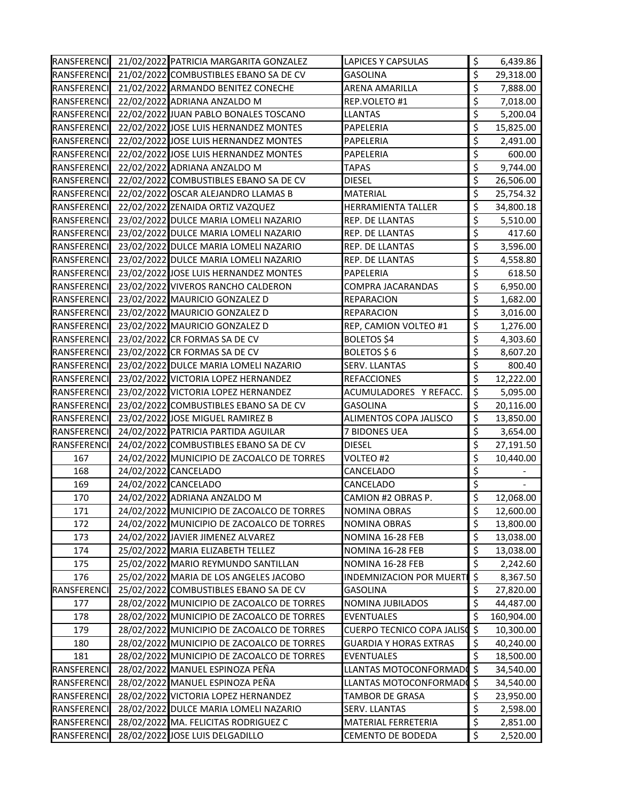|                    | RANSFERENCI 21/02/2022 PATRICIA MARGARITA GONZALEZ | <b>LAPICES Y CAPSULAS</b>     | \$                       | 6,439.86   |
|--------------------|----------------------------------------------------|-------------------------------|--------------------------|------------|
| RANSFERENCI        | 21/02/2022 COMBUSTIBLES EBANO SA DE CV             | GASOLINA                      | \$                       | 29,318.00  |
| RANSFERENCI        | 21/02/2022 ARMANDO BENITEZ CONECHE                 | ARENA AMARILLA                | \$                       | 7,888.00   |
| RANSFERENCI        | 22/02/2022 ADRIANA ANZALDO M                       | REP.VOLETO #1                 | \$                       | 7,018.00   |
| RANSFERENCI        | 22/02/2022 JUAN PABLO BONALES TOSCANO              | <b>LLANTAS</b>                | \$                       | 5,200.04   |
| RANSFERENCI        | 22/02/2022 JOSE LUIS HERNANDEZ MONTES              | PAPELERIA                     | \$                       | 15,825.00  |
| RANSFERENCI        | 22/02/2022 JOSE LUIS HERNANDEZ MONTES              | PAPELERIA                     | \$                       | 2,491.00   |
| RANSFERENCI        | 22/02/2022 JOSE LUIS HERNANDEZ MONTES              | PAPELERIA                     | \$                       | 600.00     |
| RANSFERENCI        | 22/02/2022 ADRIANA ANZALDO M                       | TAPAS                         | \$                       | 9,744.00   |
| <b>RANSFERENCI</b> | 22/02/2022 COMBUSTIBLES EBANO SA DE CV             | <b>DIESEL</b>                 | \$                       | 26,506.00  |
| RANSFERENCI        | 22/02/2022 OSCAR ALEJANDRO LLAMAS B                | MATERIAL                      | \$                       | 25,754.32  |
| RANSFERENCI        | 22/02/2022 ZENAIDA ORTIZ VAZQUEZ                   | HERRAMIENTA TALLER            | \$                       | 34,800.18  |
| RANSFERENCI        | 23/02/2022 DULCE MARIA LOMELI NAZARIO              | REP. DE LLANTAS               | \$                       | 5,510.00   |
| RANSFERENCI        | 23/02/2022 DULCE MARIA LOMELI NAZARIO              | REP. DE LLANTAS               | \$                       | 417.60     |
| RANSFERENCI        | 23/02/2022 DULCE MARIA LOMELI NAZARIO              | REP. DE LLANTAS               | \$                       | 3,596.00   |
| RANSFERENCI        | 23/02/2022 DULCE MARIA LOMELI NAZARIO              | REP. DE LLANTAS               | \$                       | 4,558.80   |
| RANSFERENCI        | 23/02/2022 JOSE LUIS HERNANDEZ MONTES              | PAPELERIA                     | $\overline{\mathcal{L}}$ | 618.50     |
| RANSFERENCI        | 23/02/2022 VIVEROS RANCHO CALDERON                 | COMPRA JACARANDAS             | \$                       | 6,950.00   |
| RANSFERENCI        | 23/02/2022 MAURICIO GONZALEZ D                     | REPARACION                    | \$                       | 1,682.00   |
| RANSFERENCI        | 23/02/2022 MAURICIO GONZALEZ D                     | REPARACION                    | \$                       | 3,016.00   |
| RANSFERENCI        | 23/02/2022 MAURICIO GONZALEZ D                     | REP, CAMION VOLTEO #1         | \$                       | 1,276.00   |
| RANSFERENCI        | 23/02/2022 CR FORMAS SA DE CV                      | BOLETOS \$4                   | \$                       | 4,303.60   |
| RANSFERENCI        | 23/02/2022 CR FORMAS SA DE CV                      | BOLETOS \$6                   | \$                       | 8,607.20   |
| RANSFERENCI        | 23/02/2022 DULCE MARIA LOMELI NAZARIO              | SERV. LLANTAS                 | \$                       | 800.40     |
| RANSFERENCI        | 23/02/2022 VICTORIA LOPEZ HERNANDEZ                | <b>REFACCIONES</b>            | \$                       | 12,222.00  |
| RANSFERENCI        | 23/02/2022 VICTORIA LOPEZ HERNANDEZ                | ACUMULADORES Y REFACC.        | \$                       | 5,095.00   |
| <b>RANSFERENCI</b> | 23/02/2022 COMBUSTIBLES EBANO SA DE CV             | GASOLINA                      | \$                       | 20,116.00  |
| RANSFERENCI        | 23/02/2022 JOSE MIGUEL RAMIREZ B                   | ALIMENTOS COPA JALISCO        | \$                       | 13,850.00  |
| RANSFERENCI        | 24/02/2022 PATRICIA PARTIDA AGUILAR                | 7 BIDONES UEA                 | \$                       | 3,654.00   |
| RANSFERENCI        | 24/02/2022 COMBUSTIBLES EBANO SA DE CV             | <b>DIESEL</b>                 | \$                       | 27,191.50  |
| 167                | 24/02/2022 MUNICIPIO DE ZACOALCO DE TORRES         | VOLTEO #2                     | \$                       | 10,440.00  |
| 168                | 24/02/2022 CANCELADO                               | CANCELADO                     | \$                       |            |
| 169                | 24/02/2022 CANCELADO                               | CANCELADO                     | \$                       |            |
| 170                | 24/02/2022 ADRIANA ANZALDO M                       | CAMION #2 OBRAS P.            | \$                       | 12,068.00  |
| 171                | 24/02/2022 MUNICIPIO DE ZACOALCO DE TORRES         | <b>NOMINA OBRAS</b>           | \$,                      | 12,600.00  |
| 172                | 24/02/2022 MUNICIPIO DE ZACOALCO DE TORRES         | <b>NOMINA OBRAS</b>           | \$                       | 13,800.00  |
| 173                | 24/02/2022 JAVIER JIMENEZ ALVAREZ                  | NOMINA 16-28 FEB              | $\overline{\mathcal{S}}$ | 13,038.00  |
| 174                | 25/02/2022 MARIA ELIZABETH TELLEZ                  | NOMINA 16-28 FEB              | \$                       | 13,038.00  |
| 175                | 25/02/2022 MARIO REYMUNDO SANTILLAN                | NOMINA 16-28 FEB              | \$                       | 2,242.60   |
| 176                | 25/02/2022 MARIA DE LOS ANGELES JACOBO             | INDEMNIZACION POR MUERT       | \$                       | 8,367.50   |
| RANSFERENCI        | 25/02/2022 COMBUSTIBLES EBANO SA DE CV             | GASOLINA                      | \$                       | 27,820.00  |
| 177                | 28/02/2022 MUNICIPIO DE ZACOALCO DE TORRES         | NOMINA JUBILADOS              | $\overline{\mathcal{S}}$ | 44,487.00  |
| 178                | 28/02/2022 MUNICIPIO DE ZACOALCO DE TORRES         | <b>EVENTUALES</b>             | \$                       | 160,904.00 |
| 179                | 28/02/2022 MUNICIPIO DE ZACOALCO DE TORRES         | CUERPO TECNICO COPA JALISO \$ |                          | 10,300.00  |
| 180                | 28/02/2022 MUNICIPIO DE ZACOALCO DE TORRES         | GUARDIA Y HORAS EXTRAS        | \$                       | 40,240.00  |
| 181                | 28/02/2022 MUNICIPIO DE ZACOALCO DE TORRES         | EVENTUALES                    | \$                       | 18,500.00  |
| RANSFERENCI        | 28/02/2022 MANUEL ESPINOZA PEÑA                    | LLANTAS MOTOCONFORMADO        | ا ⊱ا                     | 34,540.00  |
| RANSFERENCI        | 28/02/2022 MANUEL ESPINOZA PEÑA                    | LLANTAS MOTOCONFORMADO \$     |                          | 34,540.00  |
| RANSFERENCI        | 28/02/2022 VICTORIA LOPEZ HERNANDEZ                | TAMBOR DE GRASA               | \$                       | 23,950.00  |
| RANSFERENCI        | 28/02/2022 DULCE MARIA LOMELI NAZARIO              | SERV. LLANTAS                 | \$                       | 2,598.00   |
| RANSFERENCI        | 28/02/2022 MA. FELICITAS RODRIGUEZ C               | MATERIAL FERRETERIA           | \$                       | 2,851.00   |
| RANSFERENCI        | 28/02/2022 JOSE LUIS DELGADILLO                    | CEMENTO DE BODEDA             | \$                       | 2,520.00   |